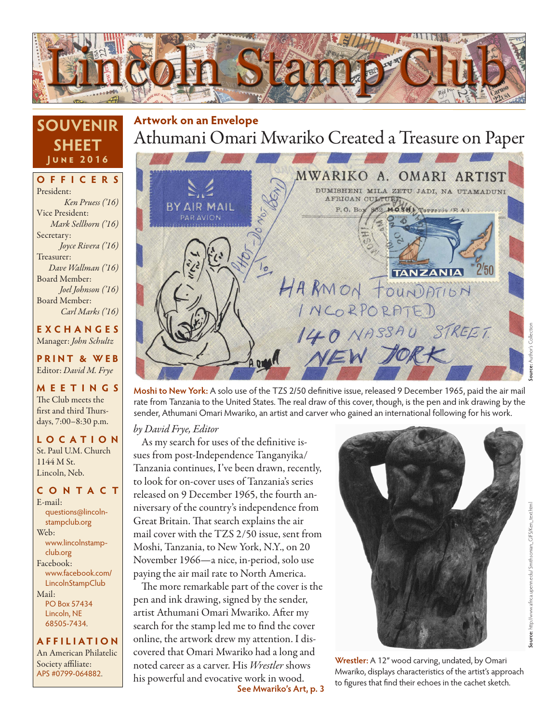

## **SOUVENIR SHEET June 2016**

**OFFICERS** President: *Ken Pruess ('16)* Vice President: *Mark Sellhorn ('16)* Secretary: *Joyce Rivera ('16)* Treasurer: *Dave Wallman ('16)* Board Member: *Joel Johnson ('16)* Board Member: *Carl Marks ('16)*

**EXCHANGES** Manager: *John Schultz*

**PRINT & WEB** Editor: *David M. Frye*

**MEETINGS** The Club meets the first and third Thursdays, 7:00–8:30 p.m.

**LO C ATI O N** St. Paul U.M. Church 1144 M St. Lincoln, Neb.

#### **CONTACT**

E-mail: questions@lincolnstampclub.org Web: www.lincolnstampclub.org Facebook: www.facebook.com/ **LincolnStampClub** Mail: PO Box 57434 Lincoln, NE 68505-7434.

#### **AFFI LIATI O N**

An American Philatelic Society affiliate: APS #0799-064882.

# Athumani Omari Mwariko Created a Treasure on Paper **Artwork on an Envelope**



**Source:** http://www.africa.upenn.edu/ Smithsonian\_GIFS/Ken\_text.html

bource: http://www.africa.upem.edu/ Smithsonian\_GIFS/Ken\_text.htm

**Moshi to New York:** A solo use of the TZS 2/50 definitive issue, released 9 December 1965, paid the air mail rate from Tanzania to the United States. The real draw of this cover, though, is the pen and ink drawing by the sender, Athumani Omari Mwariko, an artist and carver who gained an international following for his work.

*by David Frye, Editor*

As my search for uses of the definitive issues from post-Independence Tanganyika/ Tanzania continues, I've been drawn, recently, to look for on-cover uses of Tanzania's series released on 9 December 1965, the fourth anniversary of the country's independence from Great Britain. That search explains the air mail cover with the TZS 2/50 issue, sent from Moshi, Tanzania, to New York, N.Y., on 20 November 1966—a nice, in-period, solo use paying the air mail rate to North America.

The more remarkable part of the cover is the pen and ink drawing, signed by the sender, artist Athumani Omari Mwariko. After my search for the stamp led me to find the cover online, the artwork drew my attention. I discovered that Omari Mwariko had a long and noted career as a carver. His *Wrestler* shows his powerful and evocative work in wood.<br>See Mwariko's Art, p. 3



Wrestler: A 12" wood carving, undated, by Omari Mwariko, displays characteristics of the artist's approach to figures that find their echoes in the cachet sketch.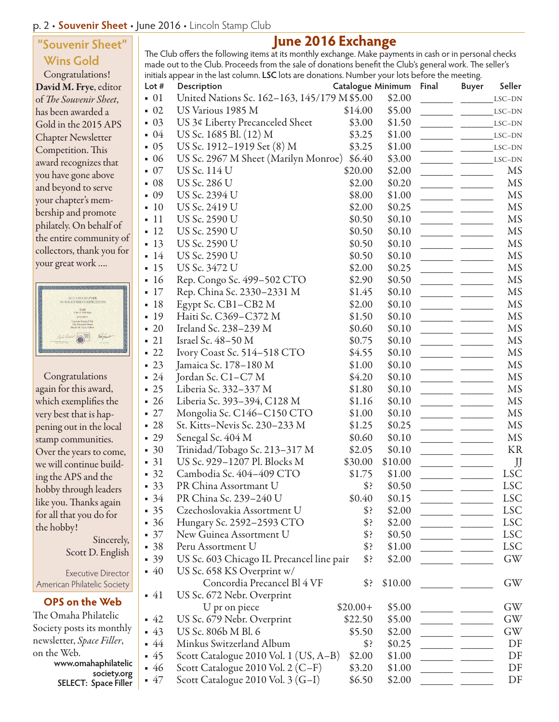### p. 2 • **Souvenir Sheet** • June 2016 • Lincoln Stamp Club

## **"Souvenir Sheet" Wins Gold**

Congratulations! David M. Frye, editor of *The Souvenir Sheet*, has been awarded a Gold in the 2015 APS Chapter Newsletter Competition. This award recognizes that you have gone above and beyond to serve your chapter's membership and promote philately. On behalf of the entire community of collectors, thank you for your great work ….



Congratulations again for this award, which exemplifies the very best that is happening out in the local stamp communities. Over the years to come, we will continue building the APS and the hobby through leaders like you. Thanks again for all that you do for the hobby!

> Sincerely, Scott D. English

Executive Director American Philatelic Society

### **OPS on the Web**

The Omaha Philatelic Society posts its monthly newsletter, *Space Filler*, on the Web. **www.omahaphilatelic society.org SELECT: Space Filler**

## **June 2016 Exchange**

The Club offers the following items at its monthly exchange. Make payments in cash or in personal checks made out to the Club. Proceeds from the sale of donations benefit the Club's general work. The seller's initials appear in the last column. **LSC** lots are donations. Number your lots before the meeting.

| Lot #             | Description                                  | Catalogue Minimum |         | Final | <b>Buyer</b> | Seller          |
|-------------------|----------------------------------------------|-------------------|---------|-------|--------------|-----------------|
| $\bullet$ 01      | United Nations Sc. 162-163, 145/179 M \$5.00 |                   | \$2.00  |       |              | LSC-DN          |
| $\bullet$ 02      | US Various 1985 M                            | \$14.00           | \$5.00  |       |              | LSC-DN          |
| $-03$             | US 3¢ Liberty Precanceled Sheet              | \$3.00            | \$1.50  |       |              | LSC-DN          |
| 04                | US Sc. 1685 Bl. (12) M                       | \$3.25            | \$1.00  |       |              | LSC-DN          |
| $-05$             | US Sc. 1912–1919 Set (8) M                   | \$3.25            | \$1.00  |       |              | $\text{LSC-DN}$ |
| $-06$             | US Sc. 2967 M Sheet (Marilyn Monroe)         | \$6.40            | \$3.00  |       |              | LSC-DN          |
| $-07$             | US Sc. 114 U                                 | \$20.00           | \$2.00  |       |              | MS              |
| $-08$             | US Sc. 286 U                                 | \$2.00            | \$0.20  |       |              | MS              |
| 09                | US Sc. 2394 U                                | \$8.00            | \$1.00  |       |              | MS              |
| $-10$             | US Sc. 2419 U                                | \$2.00            | \$0.25  |       |              | <b>MS</b>       |
| $-11$             | US Sc. 2590 U                                | \$0.50            | \$0.10  |       |              | MS              |
| $-12$             | US Sc. 2590 U                                | \$0.50            | \$0.10  |       |              | MS              |
| $-13$             | US Sc. 2590 U                                | \$0.50            | \$0.10  |       |              | MS              |
| $-14$             | US Sc. 2590 U                                | \$0.50            | \$0.10  |       |              | MS              |
| $-15$             | US Sc. 3472 U                                | \$2.00            | \$0.25  |       |              | <b>MS</b>       |
| $-16$             | Rep. Congo Sc. 499-502 CTO                   | \$2.90            | \$0.50  |       |              | MS              |
| $-17$             | Rep. China Sc. 2330-2331 M                   | \$1.45            | \$0.10  |       |              | <b>MS</b>       |
| $-18$             | Egypt Sc. CB1–CB2 M                          | \$2.00            | \$0.10  |       |              | MS              |
| $-19$             | Haiti Sc. C369-C372 M                        | \$1.50            | \$0.10  |       |              | $\rm{MS}$       |
| $\blacksquare$ 20 | Ireland Sc. 238-239 M                        | \$0.60            | \$0.10  |       |              | MS              |
| $-21$             | Israel Sc. $48-50$ M                         | \$0.75            | \$0.10  |       |              | <b>MS</b>       |
| $-22$             | Ivory Coast Sc. 514-518 CTO                  | \$4.55            | \$0.10  |       |              | MS              |
| $-23$             | Jamaica Sc. 178-180 M                        | \$1.00            | \$0.10  |       |              | MS              |
| $-24$             | Jordan Sc. C1–C7 M                           | \$4.20            | \$0.10  |       |              | MS              |
| $-25$             | Liberia Sc. 332-337 M                        | \$1.80            | \$0.10  |       |              | MS              |
| $-26$             | Liberia Sc. 393-394, C128 M                  | \$1.16            | \$0.10  |       |              | MS              |
| $-27$             | Mongolia Sc. C146-C150 CTO                   | \$1.00            | \$0.10  |       |              | MS              |
| $-28$             | St. Kitts-Nevis Sc. 230–233 M                | \$1.25            | \$0.25  |       |              | MS              |
| $-29$             | Senegal Sc. 404 M                            | \$0.60            | \$0.10  |       |              | MS              |
| $-30$             | Trinidad/Tobago Sc. 213-317 M                | \$2.05            | \$0.10  |       |              | KR              |
| $-31$             | US Sc. 929–1207 Pl. Blocks M                 | \$30.00           | \$10.00 |       |              | $\int$          |
| $-32$             | Cambodia Sc. 404-409 CTO                     | \$1.75            | \$1.00  |       |              | <b>LSC</b>      |
| $-33$             | PR China Assortmant U                        | \$?               | \$0.50  |       |              | <b>LSC</b>      |
| $-34$             | PR China Sc. 239-240 U                       | \$0.40            | \$0.15  |       |              | <b>LSC</b>      |
| $-35$             | Czechoslovakia Assortment U                  | \$                | \$2.00  |       |              | <b>LSC</b>      |
| $-36$             | Hungary Sc. 2592–2593 CTO                    | \$?               | \$2.00  |       |              | LSC             |
| $-37$             | New Guinea Assortment U                      | \$?               | \$0.50  |       |              | <b>LSC</b>      |
| $-38$             | Peru Assortment U                            | \$?               | \$1.00  |       |              | <b>LSC</b>      |
| $-39$             | US Sc. 603 Chicago IL Precancel line pair    | \$?               | \$2.00  |       |              | GW              |
| $-40$             | US Sc. 658 KS Overprint w/                   |                   |         |       |              |                 |
|                   | Concordia Precancel Bl 4 VF                  | \$?               | \$10.00 |       |              | GW              |
| $-41$             | US Sc. 672 Nebr. Overprint                   |                   |         |       |              |                 |
|                   | U pr on piece                                | $$20.00+$         | \$5.00  |       |              | GW              |
| $-42$             | US Sc. 679 Nebr. Overprint                   | \$22.50           | \$5.00  |       |              | GW              |
| $-43$             | US Sc. 806b M Bl. 6                          | \$5.50            | \$2.00  |       |              | GW              |
| - 44              | Minkus Switzerland Album                     | \$?               | \$0.25  |       |              | DF              |
| - 45              | Scott Catalogue 2010 Vol. 1 (US, A–B)        | \$2.00            | \$1.00  |       |              | DF              |
| $-46$             | Scott Catalogue 2010 Vol. 2 (C-F)            | \$3.20            | \$1.00  |       |              | DF              |
| $-47$             | Scott Catalogue 2010 Vol. $3(G-I)$           | \$6.50            | \$2.00  |       |              | DF              |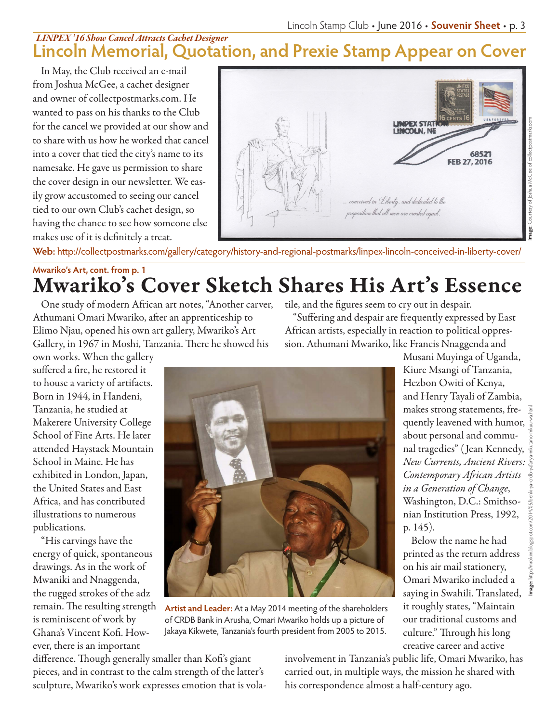## **Lincoln Memorial, Quotation, and Prexie Stamp Appear on Cover** *LINPEX '16 Show Cancel Attracts Cachet Designer*

In May, the Club received an e-mail from Joshua McGee, a cachet designer and owner of collectpostmarks.com. He wanted to pass on his thanks to the Club for the cancel we provided at our show and to share with us how he worked that cancel into a cover that tied the city's name to its namesake. He gave us permission to share the cover design in our newsletter. We easily grow accustomed to seeing our cancel tied to our own Club's cachet design, so having the chance to see how someone else makes use of it is definitely a treat.



**Web:** http://collectpostmarks.com/gallery/category/history-and-regional-postmarks/linpex-lincoln-conceived-in-liberty-cover/

# Mwariko's Cover Sketch Shares His Art's Essence **Mwariko's Art, cont. from p. 1**

One study of modern African art notes, "Another carver, Athumani Omari Mwariko, after an apprenticeship to Elimo Njau, opened his own art gallery, Mwariko's Art Gallery, in 1967 in Moshi, Tanzania. There he showed his

own works. When the gallery suffered a fire, he restored it to house a variety of artifacts. Born in 1944, in Handeni, Tanzania, he studied at Makerere University College School of Fine Arts. He later attended Haystack Mountain School in Maine. He has exhibited in London, Japan, the United States and East Africa, and has contributed illustrations to numerous publications.

"His carvings have the energy of quick, spontaneous drawings. As in the work of Mwaniki and Nnaggenda, the rugged strokes of the adz remain. The resulting strength is reminiscent of work by Ghana's Vincent Kofi. However, there is an important

tile, and the figures seem to cry out in despair.

"Suffering and despair are frequently expressed by East African artists, especially in reaction to political oppression. Athumani Mwariko, like Francis Nnaggenda and



**Artist and Leader:** At a May 2014 meeting of the shareholders of CRDB Bank in Arusha, Omari Mwariko holds up a picture of Jakaya Kikwete, Tanzania's fourth president from 2005 to 2015.

Musani Muyinga of Uganda, Kiure Msangi of Tanzania, Hezbon Owiti of Kenya, and Henry Tayali of Zambia, makes strong statements, frequently leavened with humor, about personal and communal tragedies" ( Jean Kennedy, *New Currents, Ancient Rivers: Contemporary African Artists in a Generation of Change*, Washington, D.C.: Smithsonian Institution Press, 1992, p. 145).

Below the name he had printed as the return address on his air mail stationery, Omari Mwariko included a saying in Swahili. Translated, it roughly states, "Maintain our traditional customs and culture." Through his long creative career and active

**Image:** http://mrokim.blogspot.com/2014/05/benki-ya-crdb-yafanya-mkutano-mkuu-wa.html

difference. Though generally smaller than Kofi's giant pieces, and in contrast to the calm strength of the latter's sculpture, Mwariko's work expresses emotion that is volainvolvement in Tanzania's public life, Omari Mwariko, has carried out, in multiple ways, the mission he shared with his correspondence almost a half-century ago.